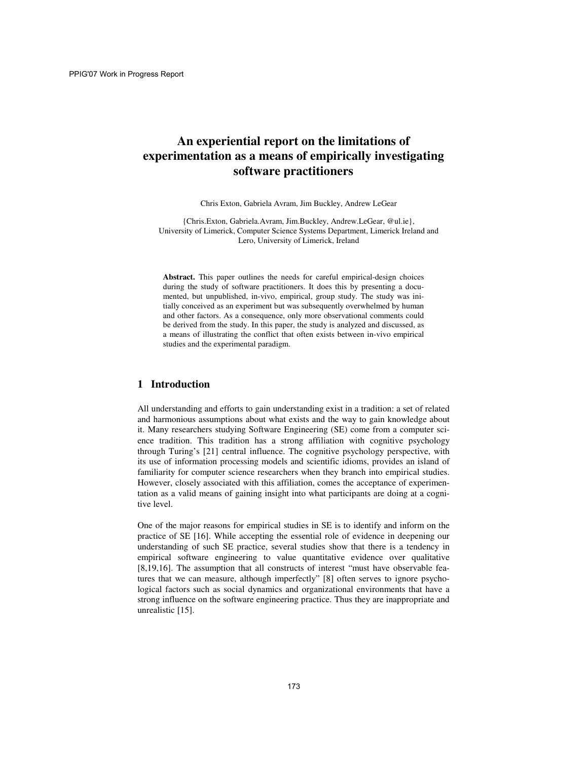# **An experiential report on the limitations of experimentation as a means of empirically investigating software practitioners**

Chris Exton, Gabriela Avram, Jim Buckley, Andrew LeGear

{Chris.Exton, Gabriela.Avram, Jim.Buckley, Andrew.LeGear, @ul.ie}, University of Limerick, Computer Science Systems Department, Limerick Ireland and Lero, University of Limerick, Ireland

**Abstract.** This paper outlines the needs for careful empirical-design choices during the study of software practitioners. It does this by presenting a documented, but unpublished, in-vivo, empirical, group study. The study was initially conceived as an experiment but was subsequently overwhelmed by human and other factors. As a consequence, only more observational comments could be derived from the study. In this paper, the study is analyzed and discussed, as a means of illustrating the conflict that often exists between in-vivo empirical studies and the experimental paradigm.

### **1 Introduction**

All understanding and efforts to gain understanding exist in a tradition: a set of related and harmonious assumptions about what exists and the way to gain knowledge about it. Many researchers studying Software Engineering (SE) come from a computer science tradition. This tradition has a strong affiliation with cognitive psychology through Turing's [21] central influence. The cognitive psychology perspective, with its use of information processing models and scientific idioms, provides an island of familiarity for computer science researchers when they branch into empirical studies. However, closely associated with this affiliation, comes the acceptance of experimentation as a valid means of gaining insight into what participants are doing at a cognitive level.

One of the major reasons for empirical studies in SE is to identify and inform on the practice of SE [16]. While accepting the essential role of evidence in deepening our understanding of such SE practice, several studies show that there is a tendency in empirical software engineering to value quantitative evidence over qualitative [8,19,16]. The assumption that all constructs of interest "must have observable features that we can measure, although imperfectly" [8] often serves to ignore psychological factors such as social dynamics and organizational environments that have a strong influence on the software engineering practice. Thus they are inappropriate and unrealistic [15].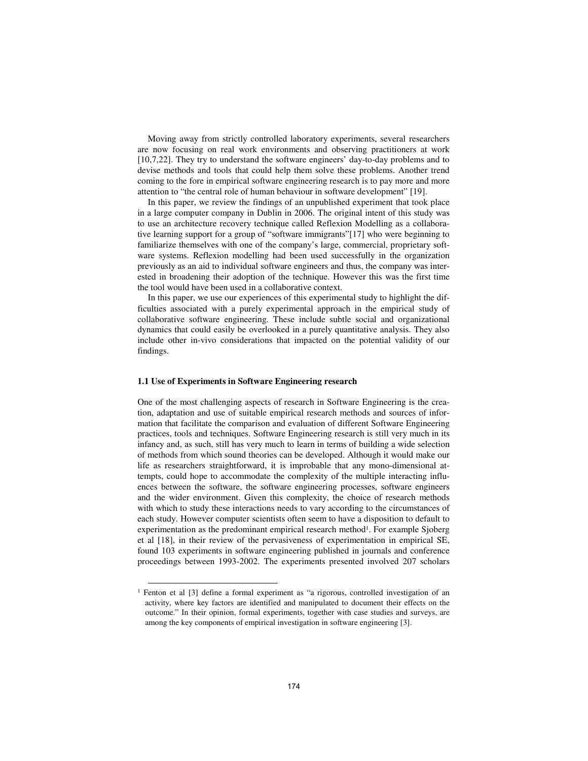Moving away from strictly controlled laboratory experiments, several researchers are now focusing on real work environments and observing practitioners at work [10,7,22]. They try to understand the software engineers' day-to-day problems and to devise methods and tools that could help them solve these problems. Another trend coming to the fore in empirical software engineering research is to pay more and more attention to "the central role of human behaviour in software development" [19].

In this paper, we review the findings of an unpublished experiment that took place in a large computer company in Dublin in 2006. The original intent of this study was to use an architecture recovery technique called Reflexion Modelling as a collaborative learning support for a group of "software immigrants"[17] who were beginning to familiarize themselves with one of the company's large, commercial, proprietary software systems. Reflexion modelling had been used successfully in the organization previously as an aid to individual software engineers and thus, the company was interested in broadening their adoption of the technique. However this was the first time the tool would have been used in a collaborative context.

In this paper, we use our experiences of this experimental study to highlight the difficulties associated with a purely experimental approach in the empirical study of collaborative software engineering. These include subtle social and organizational dynamics that could easily be overlooked in a purely quantitative analysis. They also include other in-vivo considerations that impacted on the potential validity of our findings.

#### **1.1 Use of Experiments in Software Engineering research**

<u>.</u>

One of the most challenging aspects of research in Software Engineering is the creation, adaptation and use of suitable empirical research methods and sources of information that facilitate the comparison and evaluation of different Software Engineering practices, tools and techniques. Software Engineering research is still very much in its infancy and, as such, still has very much to learn in terms of building a wide selection of methods from which sound theories can be developed. Although it would make our life as researchers straightforward, it is improbable that any mono-dimensional attempts, could hope to accommodate the complexity of the multiple interacting influences between the software, the software engineering processes, software engineers and the wider environment. Given this complexity, the choice of research methods with which to study these interactions needs to vary according to the circumstances of each study. However computer scientists often seem to have a disposition to default to experimentation as the predominant empirical research method<sup>1</sup>. For example Sjoberg et al [18], in their review of the pervasiveness of experimentation in empirical SE, found 103 experiments in software engineering published in journals and conference proceedings between 1993-2002. The experiments presented involved 207 scholars

<sup>1</sup> Fenton et al [3] define a formal experiment as "a rigorous, controlled investigation of an activity, where key factors are identified and manipulated to document their effects on the outcome." In their opinion, formal experiments, together with case studies and surveys, are among the key components of empirical investigation in software engineering [3].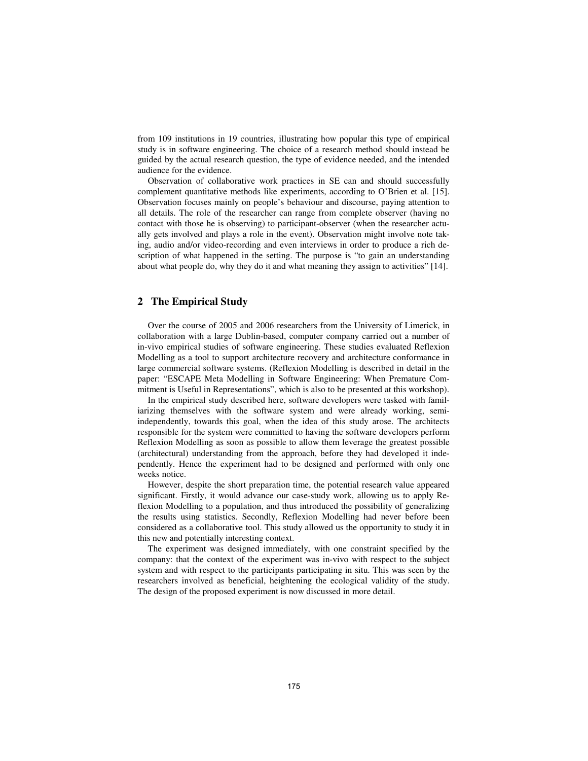from 109 institutions in 19 countries, illustrating how popular this type of empirical study is in software engineering. The choice of a research method should instead be guided by the actual research question, the type of evidence needed, and the intended audience for the evidence.

Observation of collaborative work practices in SE can and should successfully complement quantitative methods like experiments, according to O'Brien et al. [15]. Observation focuses mainly on people's behaviour and discourse, paying attention to all details. The role of the researcher can range from complete observer (having no contact with those he is observing) to participant-observer (when the researcher actually gets involved and plays a role in the event). Observation might involve note taking, audio and/or video-recording and even interviews in order to produce a rich description of what happened in the setting. The purpose is "to gain an understanding about what people do, why they do it and what meaning they assign to activities" [14].

## **2 The Empirical Study**

Over the course of 2005 and 2006 researchers from the University of Limerick, in collaboration with a large Dublin-based, computer company carried out a number of in-vivo empirical studies of software engineering. These studies evaluated Reflexion Modelling as a tool to support architecture recovery and architecture conformance in large commercial software systems. (Reflexion Modelling is described in detail in the paper: "ESCAPE Meta Modelling in Software Engineering: When Premature Commitment is Useful in Representations", which is also to be presented at this workshop).

In the empirical study described here, software developers were tasked with familiarizing themselves with the software system and were already working, semiindependently, towards this goal, when the idea of this study arose. The architects responsible for the system were committed to having the software developers perform Reflexion Modelling as soon as possible to allow them leverage the greatest possible (architectural) understanding from the approach, before they had developed it independently. Hence the experiment had to be designed and performed with only one weeks notice.

However, despite the short preparation time, the potential research value appeared significant. Firstly, it would advance our case-study work, allowing us to apply Reflexion Modelling to a population, and thus introduced the possibility of generalizing the results using statistics. Secondly, Reflexion Modelling had never before been considered as a collaborative tool. This study allowed us the opportunity to study it in this new and potentially interesting context.

The experiment was designed immediately, with one constraint specified by the company: that the context of the experiment was in-vivo with respect to the subject system and with respect to the participants participating in situ. This was seen by the researchers involved as beneficial, heightening the ecological validity of the study. The design of the proposed experiment is now discussed in more detail.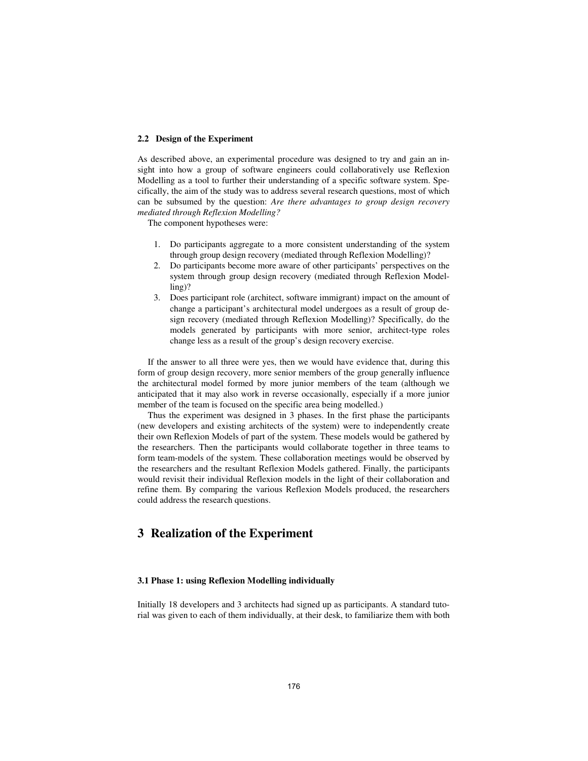#### **2.2 Design of the Experiment**

As described above, an experimental procedure was designed to try and gain an insight into how a group of software engineers could collaboratively use Reflexion Modelling as a tool to further their understanding of a specific software system. Specifically, the aim of the study was to address several research questions, most of which can be subsumed by the question: *Are there advantages to group design recovery mediated through Reflexion Modelling?*

The component hypotheses were:

- 1. Do participants aggregate to a more consistent understanding of the system through group design recovery (mediated through Reflexion Modelling)?
- 2. Do participants become more aware of other participants' perspectives on the system through group design recovery (mediated through Reflexion Modelling)?
- 3. Does participant role (architect, software immigrant) impact on the amount of change a participant's architectural model undergoes as a result of group design recovery (mediated through Reflexion Modelling)? Specifically, do the models generated by participants with more senior, architect-type roles change less as a result of the group's design recovery exercise.

If the answer to all three were yes, then we would have evidence that, during this form of group design recovery, more senior members of the group generally influence the architectural model formed by more junior members of the team (although we anticipated that it may also work in reverse occasionally, especially if a more junior member of the team is focused on the specific area being modelled.)

Thus the experiment was designed in 3 phases. In the first phase the participants (new developers and existing architects of the system) were to independently create their own Reflexion Models of part of the system. These models would be gathered by the researchers. Then the participants would collaborate together in three teams to form team-models of the system. These collaboration meetings would be observed by the researchers and the resultant Reflexion Models gathered. Finally, the participants would revisit their individual Reflexion models in the light of their collaboration and refine them. By comparing the various Reflexion Models produced, the researchers could address the research questions.

## **3 Realization of the Experiment**

#### **3.1 Phase 1: using Reflexion Modelling individually**

Initially 18 developers and 3 architects had signed up as participants. A standard tutorial was given to each of them individually, at their desk, to familiarize them with both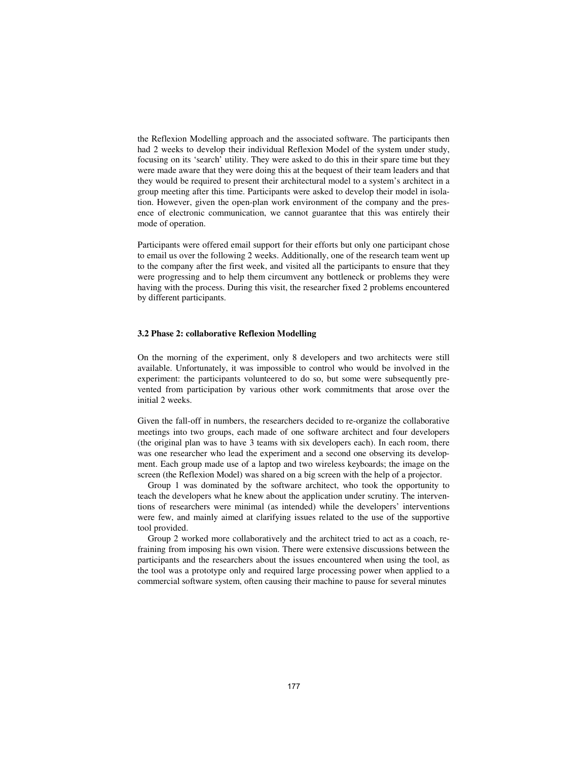the Reflexion Modelling approach and the associated software. The participants then had 2 weeks to develop their individual Reflexion Model of the system under study, focusing on its 'search' utility. They were asked to do this in their spare time but they were made aware that they were doing this at the bequest of their team leaders and that they would be required to present their architectural model to a system's architect in a group meeting after this time. Participants were asked to develop their model in isolation. However, given the open-plan work environment of the company and the presence of electronic communication, we cannot guarantee that this was entirely their mode of operation.

Participants were offered email support for their efforts but only one participant chose to email us over the following 2 weeks. Additionally, one of the research team went up to the company after the first week, and visited all the participants to ensure that they were progressing and to help them circumvent any bottleneck or problems they were having with the process. During this visit, the researcher fixed 2 problems encountered by different participants.

#### **3.2 Phase 2: collaborative Reflexion Modelling**

On the morning of the experiment, only 8 developers and two architects were still available. Unfortunately, it was impossible to control who would be involved in the experiment: the participants volunteered to do so, but some were subsequently prevented from participation by various other work commitments that arose over the initial 2 weeks.

Given the fall-off in numbers, the researchers decided to re-organize the collaborative meetings into two groups, each made of one software architect and four developers (the original plan was to have 3 teams with six developers each). In each room, there was one researcher who lead the experiment and a second one observing its development. Each group made use of a laptop and two wireless keyboards; the image on the screen (the Reflexion Model) was shared on a big screen with the help of a projector.

Group 1 was dominated by the software architect, who took the opportunity to teach the developers what he knew about the application under scrutiny. The interventions of researchers were minimal (as intended) while the developers' interventions were few, and mainly aimed at clarifying issues related to the use of the supportive tool provided.

Group 2 worked more collaboratively and the architect tried to act as a coach, refraining from imposing his own vision. There were extensive discussions between the participants and the researchers about the issues encountered when using the tool, as the tool was a prototype only and required large processing power when applied to a commercial software system, often causing their machine to pause for several minutes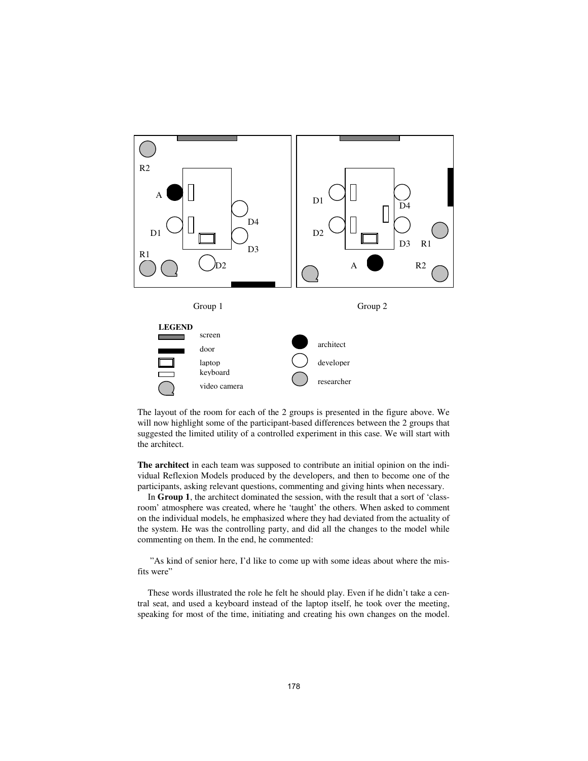

The layout of the room for each of the 2 groups is presented in the figure above. We will now highlight some of the participant-based differences between the 2 groups that suggested the limited utility of a controlled experiment in this case. We will start with the architect.

**The architect** in each team was supposed to contribute an initial opinion on the individual Reflexion Models produced by the developers, and then to become one of the participants, asking relevant questions, commenting and giving hints when necessary.

In **Group 1**, the architect dominated the session, with the result that a sort of 'classroom' atmosphere was created, where he 'taught' the others. When asked to comment on the individual models, he emphasized where they had deviated from the actuality of the system. He was the controlling party, and did all the changes to the model while commenting on them. In the end, he commented:

 "As kind of senior here, I'd like to come up with some ideas about where the misfits were"

These words illustrated the role he felt he should play. Even if he didn't take a central seat, and used a keyboard instead of the laptop itself, he took over the meeting, speaking for most of the time, initiating and creating his own changes on the model.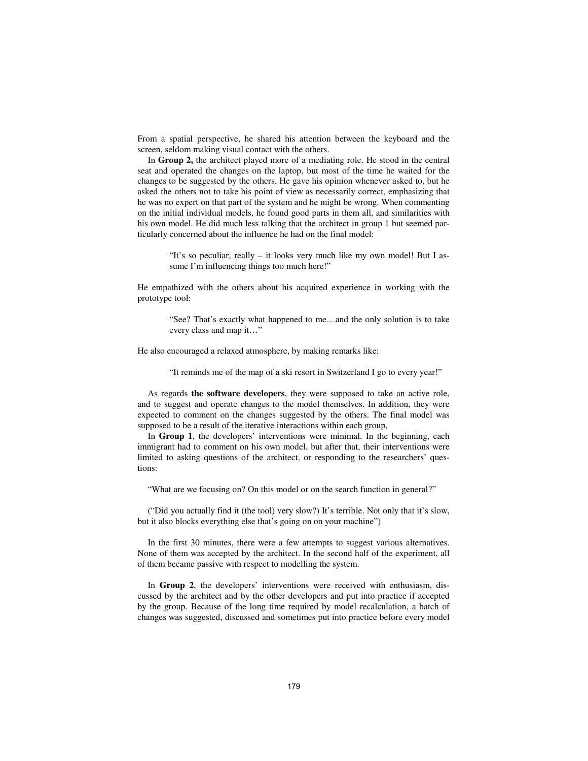From a spatial perspective, he shared his attention between the keyboard and the screen, seldom making visual contact with the others.

In **Group 2,** the architect played more of a mediating role. He stood in the central seat and operated the changes on the laptop, but most of the time he waited for the changes to be suggested by the others. He gave his opinion whenever asked to, but he asked the others not to take his point of view as necessarily correct, emphasizing that he was no expert on that part of the system and he might be wrong. When commenting on the initial individual models, he found good parts in them all, and similarities with his own model. He did much less talking that the architect in group 1 but seemed particularly concerned about the influence he had on the final model:

> "It's so peculiar, really – it looks very much like my own model! But I assume I'm influencing things too much here!"

He empathized with the others about his acquired experience in working with the prototype tool:

"See? That's exactly what happened to me…and the only solution is to take every class and map it…"

He also encouraged a relaxed atmosphere, by making remarks like:

"It reminds me of the map of a ski resort in Switzerland I go to every year!"

As regards **the software developers**, they were supposed to take an active role, and to suggest and operate changes to the model themselves. In addition, they were expected to comment on the changes suggested by the others. The final model was supposed to be a result of the iterative interactions within each group.

In **Group 1**, the developers' interventions were minimal. In the beginning, each immigrant had to comment on his own model, but after that, their interventions were limited to asking questions of the architect, or responding to the researchers' questions:

"What are we focusing on? On this model or on the search function in general?"

("Did you actually find it (the tool) very slow?) It's terrible. Not only that it's slow, but it also blocks everything else that's going on on your machine")

In the first 30 minutes, there were a few attempts to suggest various alternatives. None of them was accepted by the architect. In the second half of the experiment, all of them became passive with respect to modelling the system.

In **Group 2**, the developers' interventions were received with enthusiasm, discussed by the architect and by the other developers and put into practice if accepted by the group. Because of the long time required by model recalculation, a batch of changes was suggested, discussed and sometimes put into practice before every model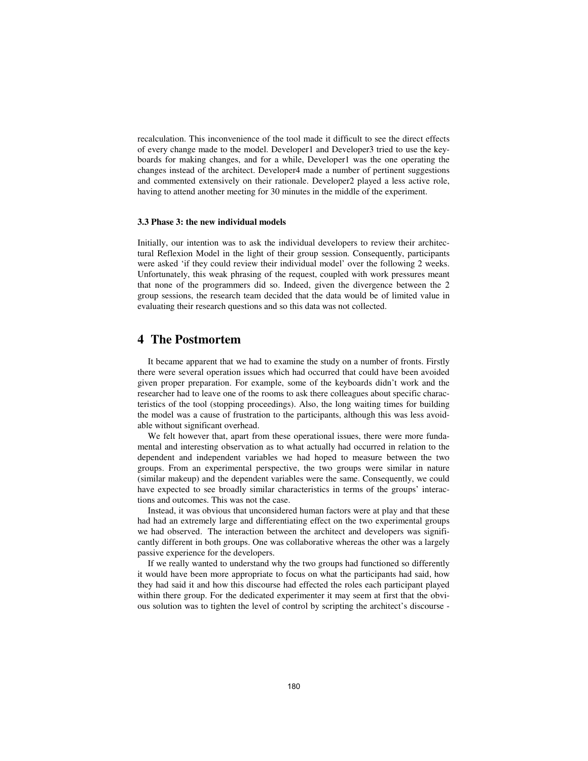recalculation. This inconvenience of the tool made it difficult to see the direct effects of every change made to the model. Developer1 and Developer3 tried to use the keyboards for making changes, and for a while, Developer1 was the one operating the changes instead of the architect. Developer4 made a number of pertinent suggestions and commented extensively on their rationale. Developer2 played a less active role, having to attend another meeting for 30 minutes in the middle of the experiment.

#### **3.3 Phase 3: the new individual models**

Initially, our intention was to ask the individual developers to review their architectural Reflexion Model in the light of their group session. Consequently, participants were asked 'if they could review their individual model' over the following 2 weeks. Unfortunately, this weak phrasing of the request, coupled with work pressures meant that none of the programmers did so. Indeed, given the divergence between the 2 group sessions, the research team decided that the data would be of limited value in evaluating their research questions and so this data was not collected.

# **4 The Postmortem**

It became apparent that we had to examine the study on a number of fronts. Firstly there were several operation issues which had occurred that could have been avoided given proper preparation. For example, some of the keyboards didn't work and the researcher had to leave one of the rooms to ask there colleagues about specific characteristics of the tool (stopping proceedings). Also, the long waiting times for building the model was a cause of frustration to the participants, although this was less avoidable without significant overhead.

We felt however that, apart from these operational issues, there were more fundamental and interesting observation as to what actually had occurred in relation to the dependent and independent variables we had hoped to measure between the two groups. From an experimental perspective, the two groups were similar in nature (similar makeup) and the dependent variables were the same. Consequently, we could have expected to see broadly similar characteristics in terms of the groups' interactions and outcomes. This was not the case.

Instead, it was obvious that unconsidered human factors were at play and that these had had an extremely large and differentiating effect on the two experimental groups we had observed. The interaction between the architect and developers was significantly different in both groups. One was collaborative whereas the other was a largely passive experience for the developers.

If we really wanted to understand why the two groups had functioned so differently it would have been more appropriate to focus on what the participants had said, how they had said it and how this discourse had effected the roles each participant played within there group. For the dedicated experimenter it may seem at first that the obvious solution was to tighten the level of control by scripting the architect's discourse -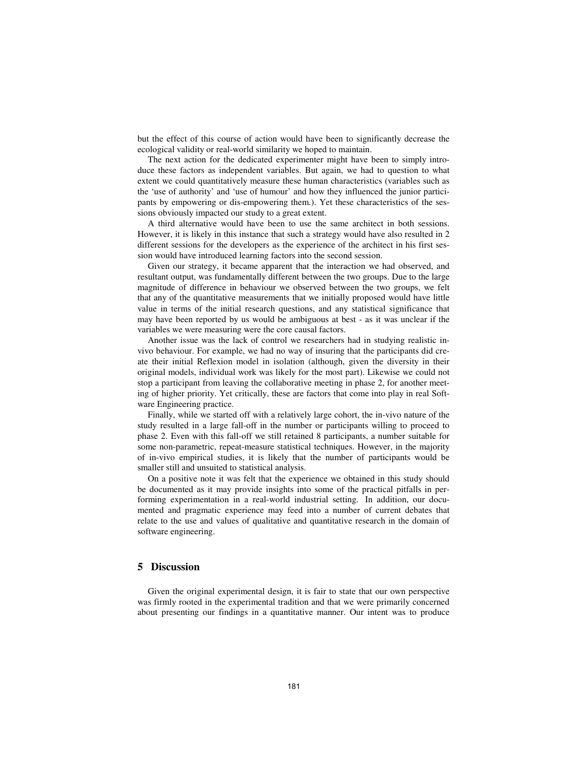but the effect of this course of action would have been to significantly decrease the ecological validity or real-world similarity we hoped to maintain.

The next action for the dedicated experimenter might have been to simply introduce these factors as independent variables. But again, we had to question to what extent we could quantitatively measure these human characteristics (variables such as the 'use of authority' and 'use of humour' and how they influenced the junior participants by empowering or dis-empowering them.). Yet these characteristics of the sessions obviously impacted our study to a great extent.

A third alternative would have been to use the same architect in both sessions. However, it is likely in this instance that such a strategy would have also resulted in 2 different sessions for the developers as the experience of the architect in his first session would have introduced learning factors into the second session.

Given our strategy, it became apparent that the interaction we had observed, and resultant output, was fundamentally different between the two groups. Due to the large magnitude of difference in behaviour we observed between the two groups, we felt that any of the quantitative measurements that we initially proposed would have little value in terms of the initial research questions, and any statistical significance that may have been reported by us would be ambiguous at best - as it was unclear if the variables we were measuring were the core causal factors.

Another issue was the lack of control we researchers had in studying realistic invivo behaviour. For example, we had no way of insuring that the participants did create their initial Reflexion model in isolation (although, given the diversity in their original models, individual work was likely for the most part). Likewise we could not stop a participant from leaving the collaborative meeting in phase 2, for another meeting of higher priority. Yet critically, these are factors that come into play in real Software Engineering practice.

Finally, while we started off with a relatively large cohort, the in-vivo nature of the study resulted in a large fall-off in the number or participants willing to proceed to phase 2. Even with this fall-off we still retained 8 participants, a number suitable for some non-parametric, repeat-measure statistical techniques. However, in the majority of in-vivo empirical studies, it is likely that the number of participants would be smaller still and unsuited to statistical analysis.

On a positive note it was felt that the experience we obtained in this study should be documented as it may provide insights into some of the practical pitfalls in performing experimentation in a real-world industrial setting. In addition, our documented and pragmatic experience may feed into a number of current debates that relate to the use and values of qualitative and quantitative research in the domain of software engineering.

### **5 Discussion**

Given the original experimental design, it is fair to state that our own perspective was firmly rooted in the experimental tradition and that we were primarily concerned about presenting our findings in a quantitative manner. Our intent was to produce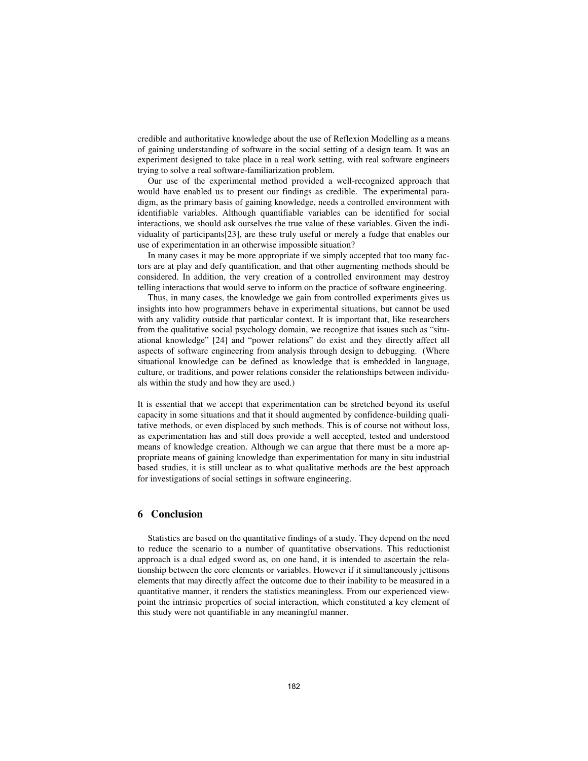credible and authoritative knowledge about the use of Reflexion Modelling as a means of gaining understanding of software in the social setting of a design team. It was an experiment designed to take place in a real work setting, with real software engineers trying to solve a real software-familiarization problem.

Our use of the experimental method provided a well-recognized approach that would have enabled us to present our findings as credible. The experimental paradigm, as the primary basis of gaining knowledge, needs a controlled environment with identifiable variables. Although quantifiable variables can be identified for social interactions, we should ask ourselves the true value of these variables. Given the individuality of participants[23], are these truly useful or merely a fudge that enables our use of experimentation in an otherwise impossible situation?

In many cases it may be more appropriate if we simply accepted that too many factors are at play and defy quantification, and that other augmenting methods should be considered. In addition, the very creation of a controlled environment may destroy telling interactions that would serve to inform on the practice of software engineering.

Thus, in many cases, the knowledge we gain from controlled experiments gives us insights into how programmers behave in experimental situations, but cannot be used with any validity outside that particular context. It is important that, like researchers from the qualitative social psychology domain, we recognize that issues such as "situational knowledge" [24] and "power relations" do exist and they directly affect all aspects of software engineering from analysis through design to debugging. (Where situational knowledge can be defined as knowledge that is embedded in language, culture, or traditions, and power relations consider the relationships between individuals within the study and how they are used.)

It is essential that we accept that experimentation can be stretched beyond its useful capacity in some situations and that it should augmented by confidence-building qualitative methods, or even displaced by such methods. This is of course not without loss, as experimentation has and still does provide a well accepted, tested and understood means of knowledge creation. Although we can argue that there must be a more appropriate means of gaining knowledge than experimentation for many in situ industrial based studies, it is still unclear as to what qualitative methods are the best approach for investigations of social settings in software engineering.

### **6 Conclusion**

Statistics are based on the quantitative findings of a study. They depend on the need to reduce the scenario to a number of quantitative observations. This reductionist approach is a dual edged sword as, on one hand, it is intended to ascertain the relationship between the core elements or variables. However if it simultaneously jettisons elements that may directly affect the outcome due to their inability to be measured in a quantitative manner, it renders the statistics meaningless. From our experienced viewpoint the intrinsic properties of social interaction, which constituted a key element of this study were not quantifiable in any meaningful manner.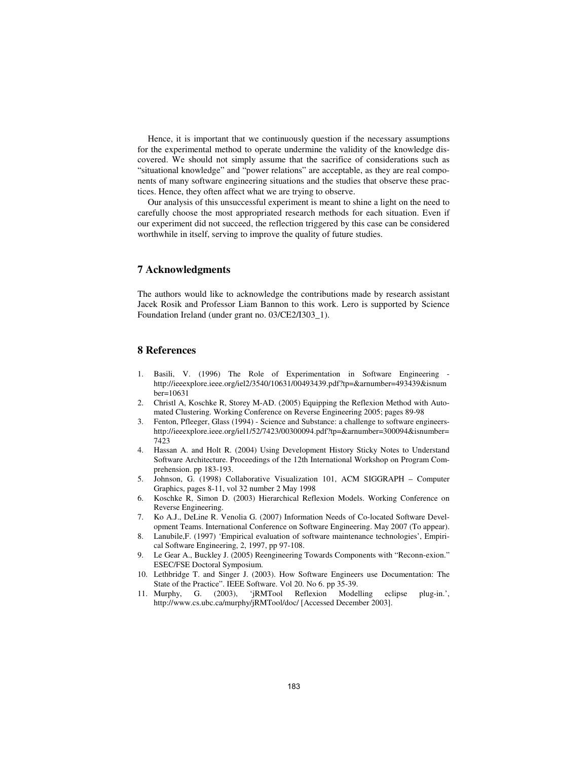Hence, it is important that we continuously question if the necessary assumptions for the experimental method to operate undermine the validity of the knowledge discovered. We should not simply assume that the sacrifice of considerations such as "situational knowledge" and "power relations" are acceptable, as they are real components of many software engineering situations and the studies that observe these practices. Hence, they often affect what we are trying to observe.

Our analysis of this unsuccessful experiment is meant to shine a light on the need to carefully choose the most appropriated research methods for each situation. Even if our experiment did not succeed, the reflection triggered by this case can be considered worthwhile in itself, serving to improve the quality of future studies.

### **7 Acknowledgments**

The authors would like to acknowledge the contributions made by research assistant Jacek Rosik and Professor Liam Bannon to this work. Lero is supported by Science Foundation Ireland (under grant no. 03/CE2/I303\_1).

### **8 References**

- 1. Basili, V. (1996) The Role of Experimentation in Software Engineering http://ieeexplore.ieee.org/iel2/3540/10631/00493439.pdf?tp=&arnumber=493439&isnum ber=10631
- 2. Christl A, Koschke R, Storey M-AD. (2005) Equipping the Reflexion Method with Automated Clustering. Working Conference on Reverse Engineering 2005; pages 89-98
- 3. Fenton, Pfleeger, Glass (1994) Science and Substance: a challenge to software engineershttp://ieeexplore.ieee.org/iel1/52/7423/00300094.pdf?tp=&arnumber=300094&isnumber= 7423
- 4. Hassan A. and Holt R. (2004) Using Development History Sticky Notes to Understand Software Architecture. Proceedings of the 12th International Workshop on Program Comprehension. pp 183-193.
- 5. Johnson, G. (1998) Collaborative Visualization 101, ACM SIGGRAPH Computer Graphics, pages 8-11, vol 32 number 2 May 1998
- 6. Koschke R, Simon D. (2003) Hierarchical Reflexion Models. Working Conference on Reverse Engineering.
- 7. Ko A.J., DeLine R. Venolia G. (2007) Information Needs of Co-located Software Development Teams. International Conference on Software Engineering. May 2007 (To appear).
- 8. Lanubile,F. (1997) 'Empirical evaluation of software maintenance technologies', Empirical Software Engineering, 2, 1997, pp 97-108.
- 9. Le Gear A., Buckley J. (2005) Reengineering Towards Components with "Reconn-exion." ESEC/FSE Doctoral Symposium.
- 10. Lethbridge T. and Singer J. (2003). How Software Engineers use Documentation: The State of the Practice". IEEE Software. Vol 20. No 6. pp 35-39.
- 11. Murphy, G. (2003), 'jRMTool Reflexion Modelling eclipse plug-in.', http://www.cs.ubc.ca/murphy/jRMTool/doc/ [Accessed December 2003].